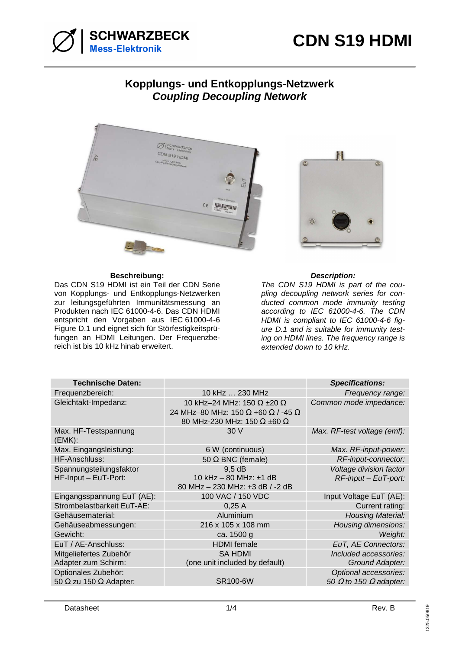



## **Kopplungs- und Entkopplungs-Netzwerk Coupling Decoupling Network**



## **Beschreibung: Description:**

Das CDN S19 HDMI ist ein Teil der CDN Serie von Kopplungs- und Entkopplungs-Netzwerken zur leitungsgeführten Immunitätsmessung an Produkten nach IEC 61000-4-6. Das CDN HDMI entspricht den Vorgaben aus IEC 61000-4-6 Figure D.1 und eignet sich für Störfestigkeitsprüfungen an HDMI Leitungen. Der Frequenzbereich ist bis 10 kHz hinab erweitert.



The CDN S19 HDMI is part of the coupling decoupling network series for conducted common mode immunity testing according to IEC 61000-4-6. The CDN HDMI is compliant to IEC 61000-4-6 figure D.1 and is suitable for immunity testing on HDMI lines. The frequency range is extended down to 10 kHz.

| <b>Technische Daten:</b>                                    |                                                                                                               | <b>Specifications:</b>                                        |
|-------------------------------------------------------------|---------------------------------------------------------------------------------------------------------------|---------------------------------------------------------------|
| Frequenzbereich:                                            | 10 kHz  230 MHz                                                                                               | Frequency range:                                              |
| Gleichtakt-Impedanz:                                        | 10 kHz-24 MHz: 150 $\Omega$ ±20 $\Omega$<br>24 MHz-80 MHz: 150 Ω +60 Ω / -45 Ω<br>80 MHz-230 MHz: 150 Ω ±60 Ω | Common mode impedance:                                        |
| Max. HF-Testspannung<br>(EMK):                              | 30 V                                                                                                          | Max. RF-test voltage (emf):                                   |
| Max. Eingangsleistung:                                      | 6 W (continuous)                                                                                              | Max. RF-input-power:                                          |
| HF-Anschluss:                                               | 50 $\Omega$ BNC (female)                                                                                      | RF-input-connector:                                           |
| Spannungsteilungsfaktor<br>HF-Input - EuT-Port:             | $9,5$ dB<br>10 kHz - 80 MHz: ±1 dB<br>80 MHz - 230 MHz: +3 dB / -2 dB                                         | Voltage division factor<br>$RF$ -input – EuT-port:            |
| Eingangsspannung EuT (AE):                                  | 100 VAC / 150 VDC                                                                                             | Input Voltage EuT (AE):                                       |
| Strombelastbarkeit EuT-AE:                                  | 0,25A                                                                                                         | Current rating:                                               |
| Gehäusematerial:                                            | Aluminium                                                                                                     | <b>Housing Material:</b>                                      |
| Gehäuseabmessungen:                                         | 216 x 105 x 108 mm                                                                                            | Housing dimensions:                                           |
| Gewicht:                                                    | ca. 1500 g                                                                                                    | Weight:                                                       |
| EuT / AE-Anschluss:                                         | <b>HDMI</b> female                                                                                            | EuT, AE Connectors:                                           |
| Mitgeliefertes Zubehör<br>Adapter zum Schirm:               | <b>SA HDMI</b><br>(one unit included by default)                                                              | Included accessories:<br>Ground Adapter:                      |
| Optionales Zubehör:<br>50 $\Omega$ zu 150 $\Omega$ Adapter: | SR100-6W                                                                                                      | Optional accessories:<br>50 $\Omega$ to 150 $\Omega$ adapter: |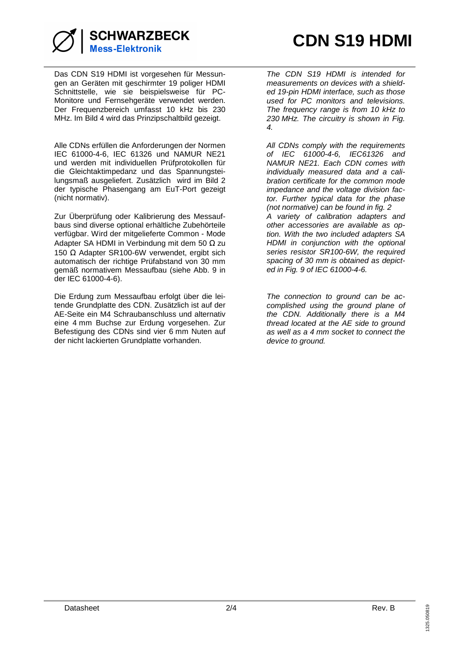

Das CDN S19 HDMI ist vorgesehen für Messungen an Geräten mit geschirmter 19 poliger HDMI Schnittstelle, wie sie beispielsweise für PC-Monitore und Fernsehgeräte verwendet werden. Der Frequenzbereich umfasst 10 kHz bis 230 MHz. Im Bild 4 wird das Prinzipschaltbild gezeigt.

Alle CDNs erfüllen die Anforderungen der Normen IEC 61000-4-6, IEC 61326 und NAMUR NE21 und werden mit individuellen Prüfprotokollen für die Gleichtaktimpedanz und das Spannungsteilungsmaß ausgeliefert. Zusätzlich wird im Bild 2 der typische Phasengang am EuT-Port gezeigt (nicht normativ).

Zur Überprüfung oder Kalibrierung des Messaufbaus sind diverse optional erhältliche Zubehörteile verfügbar. Wird der mitgelieferte Common - Mode Adapter SA HDMI in Verbindung mit dem 50 Ω zu 150 Ω Adapter SR100-6W verwendet, ergibt sich automatisch der richtige Prüfabstand von 30 mm gemäß normativem Messaufbau (siehe Abb. 9 in der IEC 61000-4-6).

Die Erdung zum Messaufbau erfolgt über die leitende Grundplatte des CDN. Zusätzlich ist auf der AE-Seite ein M4 Schraubanschluss und alternativ eine 4 mm Buchse zur Erdung vorgesehen. Zur Befestigung des CDNs sind vier 6 mm Nuten auf der nicht lackierten Grundplatte vorhanden.

The CDN S19 HDMI is intended for measurements on devices with a shielded 19-pin HDMI interface, such as those used for PC monitors and televisions. The frequency range is from 10 kHz to 230 MHz. The circuitry is shown in Fig. 4.

All CDNs comply with the requirements of IEC 61000-4-6, IEC61326 and NAMUR NE21. Each CDN comes with individually measured data and a calibration certificate for the common mode impedance and the voltage division factor. Further typical data for the phase (not normative) can be found in fig. 2 A variety of calibration adapters and other accessories are available as option. With the two included adapters SA HDMI in conjunction with the optional series resistor SR100-6W, the required spacing of 30 mm is obtained as depicted in Fig. 9 of IEC 61000-4-6.

The connection to ground can be accomplished using the ground plane of the CDN. Additionally there is a M4 thread located at the AE side to ground as well as a 4 mm socket to connect the device to ground.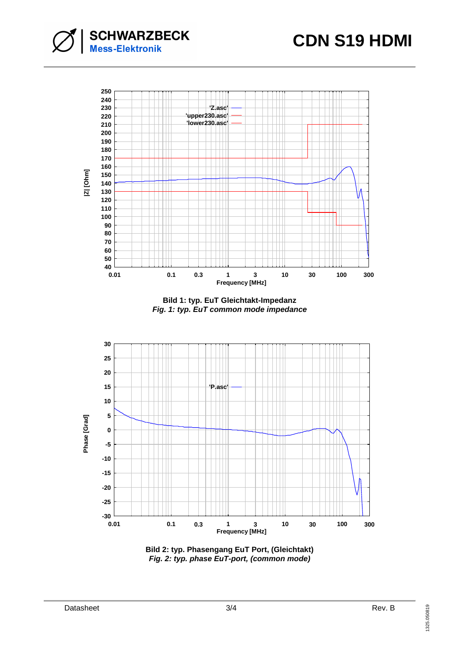



**Bild 1: typ. EuT Gleichtakt-Impedanz Fig. 1: typ. EuT common mode impedance**